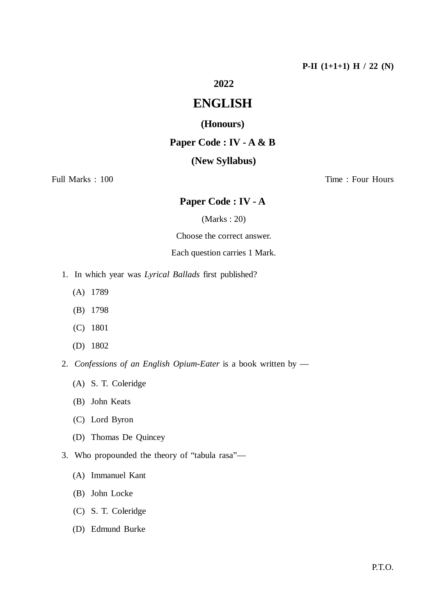# **2022**

# **ENGLISH**

## **(Honours)**

## **Paper Code : IV - A & B**

## **(New Syllabus)**

## Full Marks : 100 Time : Four Hours

## **Paper Code : IV - A**

#### (Marks : 20)

Choose the correct answer.

### Each question carries 1 Mark.

- 1. In which year was *Lyrical Ballads* first published?
	- (A) 1789
	- (B) 1798
	- (C) 1801
	- (D) 1802
- 2. *Confessions of an English Opium-Eater* is a book written by
	- (A) S. T. Coleridge
	- (B) John Keats
	- (C) Lord Byron
	- (D) Thomas De Quincey
- 3. Who propounded the theory of "tabula rasa"—
	- (A) Immanuel Kant
	- (B) John Locke
	- (C) S. T. Coleridge
	- (D) Edmund Burke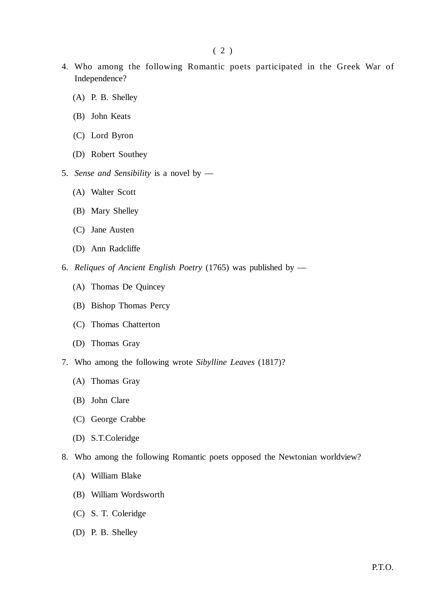- 4. Who among the following Romantic poets participated in the Greek War of Independence?
	- (A) P. B. Shelley
	- (B) John Keats
	- (C) Lord Byron
	- (D) Robert Southey
- 5. *Sense and Sensibility* is a novel by
	- (A) Walter Scott
	- (B) Mary Shelley
	- (C) Jane Austen
	- (D) Ann Radcliffe
- 6. *Reliques of Ancient English Poetry* (1765) was published by
	- (A) Thomas De Quincey
	- (B) Bishop Thomas Percy
	- (C) Thomas Chatterton
	- (D) Thomas Gray
- 7. Who among the following wrote *Sibylline Leaves* (1817)?
	- (A) Thomas Gray
	- (B) John Clare
	- (C) George Crabbe
	- (D) S.T.Coleridge
- 8. Who among the following Romantic poets opposed the Newtonian worldview?
	- (A) William Blake
	- (B) William Wordsworth
	- (C) S. T. Coleridge
	- (D) P. B. Shelley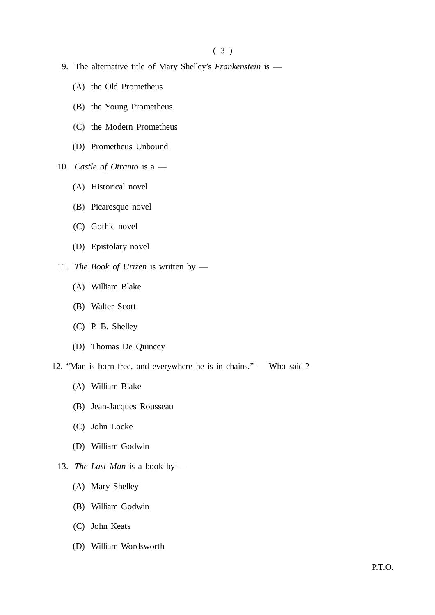- 9. The alternative title of Mary Shelley's *Frankenstein* is
	- (A) the Old Prometheus
	- (B) the Young Prometheus
	- (C) the Modern Prometheus
	- (D) Prometheus Unbound
- 10. *Castle of Otranto* is a
	- (A) Historical novel
	- (B) Picaresque novel
	- (C) Gothic novel
	- (D) Epistolary novel
- 11. *The Book of Urizen* is written by
	- (A) William Blake
	- (B) Walter Scott
	- (C) P. B. Shelley
	- (D) Thomas De Quincey
- 12. "Man is born free, and everywhere he is in chains." Who said ?
	- (A) William Blake
	- (B) Jean-Jacques Rousseau
	- (C) John Locke
	- (D) William Godwin
	- 13. *The Last Man* is a book by
		- (A) Mary Shelley
		- (B) William Godwin
		- (C) John Keats
		- (D) William Wordsworth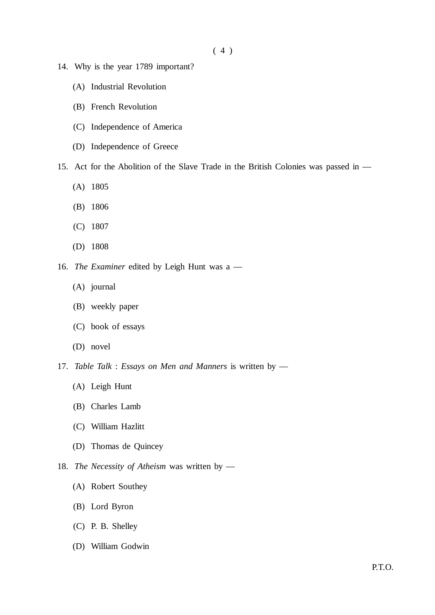- 14. Why is the year 1789 important?
	- (A) Industrial Revolution
	- (B) French Revolution
	- (C) Independence of America
	- (D) Independence of Greece
- 15. Act for the Abolition of the Slave Trade in the British Colonies was passed in
	- (A) 1805
	- (B) 1806
	- (C) 1807
	- (D) 1808
- 16. *The Examiner* edited by Leigh Hunt was a
	- (A) journal
	- (B) weekly paper
	- (C) book of essays
	- (D) novel
- 17. *Table Talk* : *Essays on Men and Manners* is written by
	- (A) Leigh Hunt
	- (B) Charles Lamb
	- (C) William Hazlitt
	- (D) Thomas de Quincey
- 18. *The Necessity of Atheism* was written by
	- (A) Robert Southey
	- (B) Lord Byron
	- (C) P. B. Shelley
	- (D) William Godwin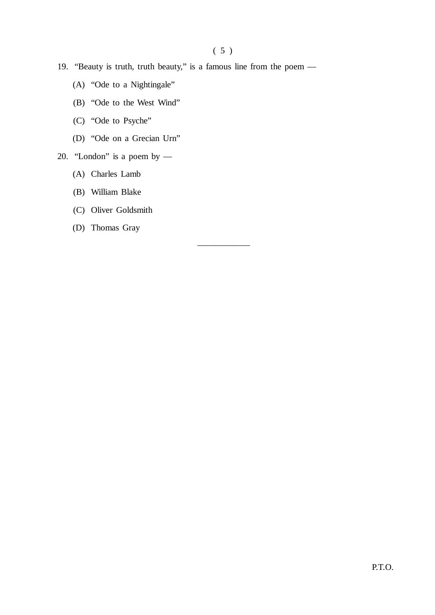——————

- 19. "Beauty is truth, truth beauty," is a famous line from the poem
	- (A) "Ode to a Nightingale"
	- (B) "Ode to the West Wind"
	- (C) "Ode to Psyche"
	- (D) "Ode on a Grecian Urn"
- 20. "London" is a poem by
	- (A) Charles Lamb
	- (B) William Blake
	- (C) Oliver Goldsmith
	- (D) Thomas Gray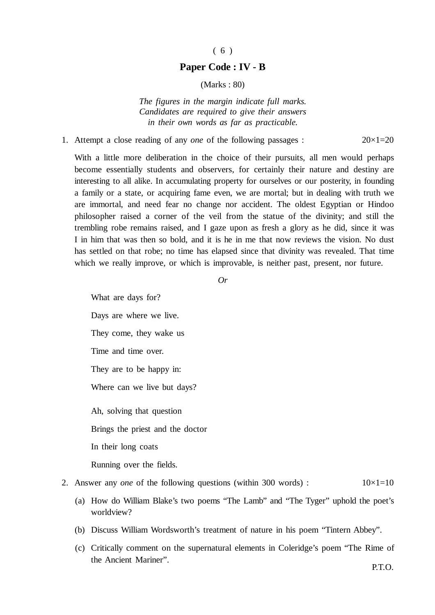#### ( 6 )

#### **Paper Code : IV - B**

(Marks : 80)

*The figures in the margin indicate full marks. Candidates are required to give their answers in their own words as far as practicable.*

#### 1. Attempt a close reading of any *one* of the following passages : 20×1=20

With a little more deliberation in the choice of their pursuits, all men would perhaps become essentially students and observers, for certainly their nature and destiny are interesting to all alike. In accumulating property for ourselves or our posterity, in founding a family or a state, or acquiring fame even, we are mortal; but in dealing with truth we are immortal, and need fear no change nor accident. The oldest Egyptian or Hindoo philosopher raised a corner of the veil from the statue of the divinity; and still the trembling robe remains raised, and I gaze upon as fresh a glory as he did, since it was I in him that was then so bold, and it is he in me that now reviews the vision. No dust has settled on that robe; no time has elapsed since that divinity was revealed. That time which we really improve, or which is improvable, is neither past, present, nor future.

*Or*

What are days for? Days are where we live. They come, they wake us Time and time over. They are to be happy in: Where can we live but days? Ah, solving that question Brings the priest and the doctor In their long coats Running over the fields.

#### 2. Answer any *one* of the following questions (within 300 words) :  $10 \times 1 = 10$

- (a) How do William Blake's two poems "The Lamb" and "The Tyger" uphold the poet's worldview?
- (b) Discuss William Wordsworth's treatment of nature in his poem "Tintern Abbey".
- (c) Critically comment on the supernatural elements in Coleridge's poem "The Rime of the Ancient Mariner".

P.T.O.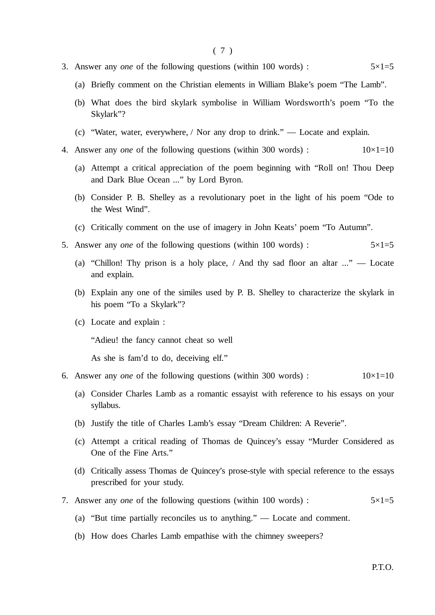- 3. Answer any *one* of the following questions (within 100 words) :  $5 \times 1 = 5$ 
	- (a) Briefly comment on the Christian elements in William Blake's poem "The Lamb".
	- (b) What does the bird skylark symbolise in William Wordsworth's poem "To the Skylark"?
	- (c) "Water, water, everywhere, / Nor any drop to drink." Locate and explain.
- 4. Answer any *one* of the following questions (within 300 words) :  $10\times1=10$ 
	- (a) Attempt a critical appreciation of the poem beginning with "Roll on! Thou Deep and Dark Blue Ocean ..." by Lord Byron.
	- (b) Consider P. B. Shelley as a revolutionary poet in the light of his poem "Ode to the West Wind".
	- (c) Critically comment on the use of imagery in John Keats' poem "To Autumn".
- 5. Answer any *one* of the following questions (within 100 words) :  $5 \times 1 = 5$ 
	- (a) "Chillon! Thy prison is a holy place, / And thy sad floor an altar ..." Locate and explain.
	- (b) Explain any one of the similes used by P. B. Shelley to characterize the skylark in his poem "To a Skylark"?
	- (c) Locate and explain :

"Adieu! the fancy cannot cheat so well

As she is fam'd to do, deceiving elf."

- 6. Answer any *one* of the following questions (within 300 words) :  $10\times1=10$ 
	- (a) Consider Charles Lamb as a romantic essayist with reference to his essays on your syllabus.
	- (b) Justify the title of Charles Lamb's essay "Dream Children: A Reverie".
	- (c) Attempt a critical reading of Thomas de Quincey's essay "Murder Considered as One of the Fine Arts."
	- (d) Critically assess Thomas de Quincey's prose-style with special reference to the essays prescribed for your study.
- 7. Answer any *one* of the following questions (within 100 words) : 5×1=5
	- (a) "But time partially reconciles us to anything." Locate and comment.
	- (b) How does Charles Lamb empathise with the chimney sweepers?